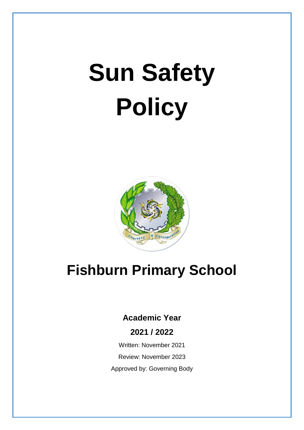# **Sun Safety Policy**



# **Fishburn Primary School**

## **Academic Year**

### **2021 / 2022**

Written: November 2021

Review: November 2023

Approved by: Governing Body